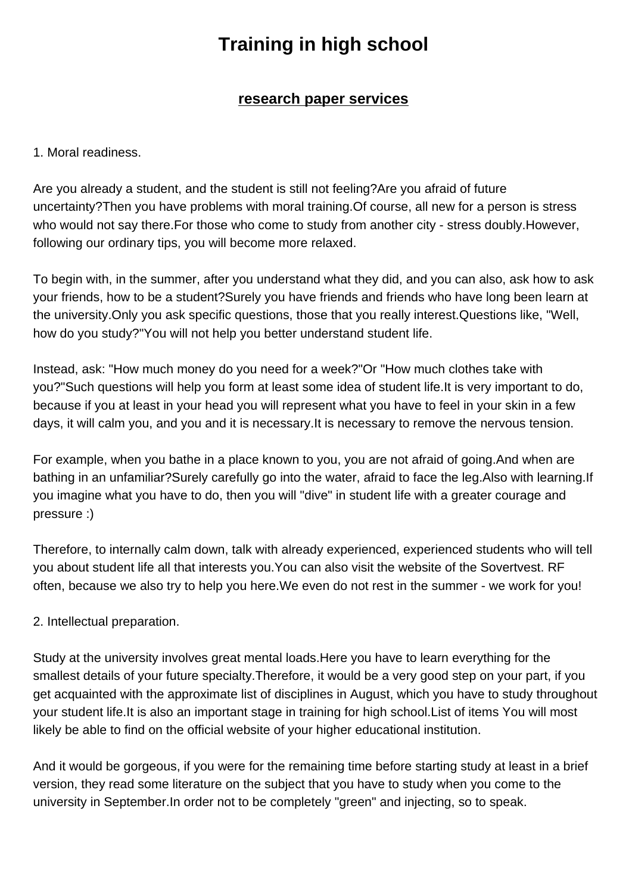## **Training in high school**

## **research paper services**

1. Moral readiness.

Are you already a student, and the student is still not feeling?Are you afraid of future uncertainty?Then you have problems with moral training.Of course, all new for a person is stress who would not say there.For those who come to study from another city - stress doubly.However, following our ordinary tips, you will become more relaxed.

To begin with, in the summer, after you understand what they did, and you can also, ask how to ask your friends, how to be a student?Surely you have friends and friends who have long been learn at the university.Only you ask specific questions, those that you really interest.Questions like, "Well, how do you study?"You will not help you better understand student life.

Instead, ask: "How much money do you need for a week?"Or "How much clothes take with you?"Such questions will help you form at least some idea of student life.It is very important to do, because if you at least in your head you will represent what you have to feel in your skin in a few days, it will calm you, and you and it is necessary.It is necessary to remove the nervous tension.

For example, when you bathe in a place known to you, you are not afraid of going.And when are bathing in an unfamiliar?Surely carefully go into the water, afraid to face the leg.Also with learning.If you imagine what you have to do, then you will "dive" in student life with a greater courage and pressure :)

Therefore, to internally calm down, talk with already experienced, experienced students who will tell you about student life all that interests you.You can also visit the website of the Sovertvest. RF often, because we also try to help you here.We even do not rest in the summer - we work for you!

2. Intellectual preparation.

Study at the university involves great mental loads.Here you have to learn everything for the smallest details of your future specialty.Therefore, it would be a very good step on your part, if you get acquainted with the approximate list of disciplines in August, which you have to study throughout your student life.It is also an important stage in training for high school.List of items You will most likely be able to find on the official website of your higher educational institution.

And it would be gorgeous, if you were for the remaining time before starting study at least in a brief version, they read some literature on the subject that you have to study when you come to the university in September.In order not to be completely "green" and injecting, so to speak.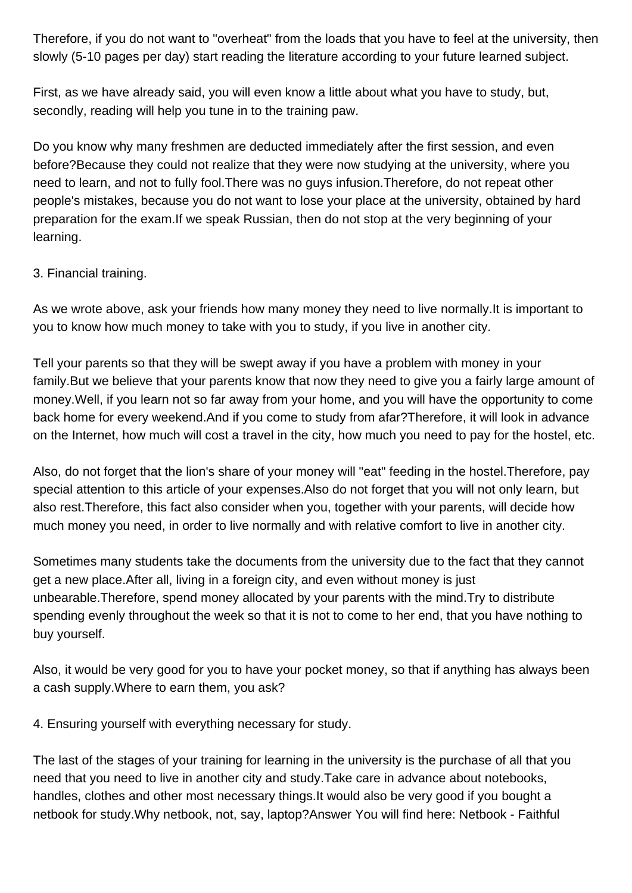Therefore, if you do not want to "overheat" from the loads that you have to feel at the university, then slowly (5-10 pages per day) start reading the literature according to your future learned subject.

First, as we have already said, you will even know a little about what you have to study, but, secondly, reading will help you tune in to the training paw.

Do you know why many freshmen are deducted immediately after the first session, and even before?Because they could not realize that they were now studying at the university, where you need to learn, and not to fully fool.There was no guys infusion.Therefore, do not repeat other people's mistakes, because you do not want to lose your place at the university, obtained by hard preparation for the exam.If we speak Russian, then do not stop at the very beginning of your learning.

## 3. Financial training.

As we wrote above, ask your friends how many money they need to live normally.It is important to you to know how much money to take with you to study, if you live in another city.

Tell your parents so that they will be swept away if you have a problem with money in your family.But we believe that your parents know that now they need to give you a fairly large amount of money.Well, if you learn not so far away from your home, and you will have the opportunity to come back home for every weekend.And if you come to study from afar?Therefore, it will look in advance on the Internet, how much will cost a travel in the city, how much you need to pay for the hostel, etc.

Also, do not forget that the lion's share of your money will "eat" feeding in the hostel.Therefore, pay special attention to this article of your expenses.Also do not forget that you will not only learn, but also rest.Therefore, this fact also consider when you, together with your parents, will decide how much money you need, in order to live normally and with relative comfort to live in another city.

Sometimes many students take the documents from the university due to the fact that they cannot get a new place.After all, living in a foreign city, and even without money is just unbearable.Therefore, spend money allocated by your parents with the mind.Try to distribute spending evenly throughout the week so that it is not to come to her end, that you have nothing to buy yourself.

Also, it would be very good for you to have your pocket money, so that if anything has always been a cash supply.Where to earn them, you ask?

4. Ensuring yourself with everything necessary for study.

The last of the stages of your training for learning in the university is the purchase of all that you need that you need to live in another city and study.Take care in advance about notebooks, handles, clothes and other most necessary things.It would also be very good if you bought a netbook for study.Why netbook, not, say, laptop?Answer You will find here: Netbook - Faithful